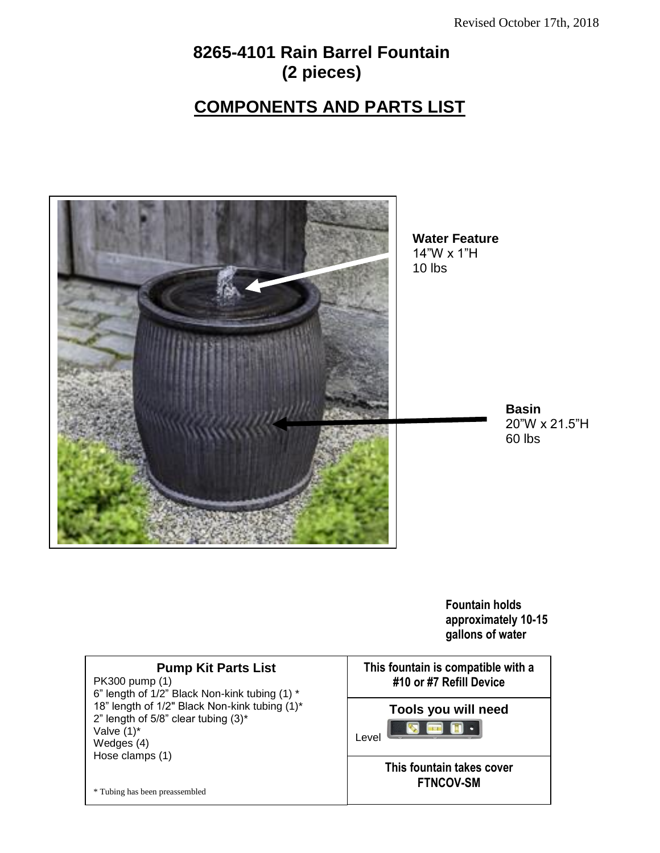# **8265-4101 Rain Barrel Fountain (2 pieces)**

# **COMPONENTS AND PARTS LIST**



**Fountain holds approximately 10-15 gallons of water**

### **Pump Kit Parts List**

PK300 pump (1) 6" length of 1/2" Black Non-kink tubing (1) \* 18" length of 1/2" Black Non-kink tubing (1)\* 2" length of 5/8" clear tubing  $(3)^*$ Valve (1)\* Wedges (4) Hose clamps (1)

\* Tubing has been preassembled

**This fountain is compatible with a #10 or #7 Refill DeviceTools you will need**  $\overline{\bullet}$  $\bullet$ Level **This fountain takes cover FTNCOV-SM**